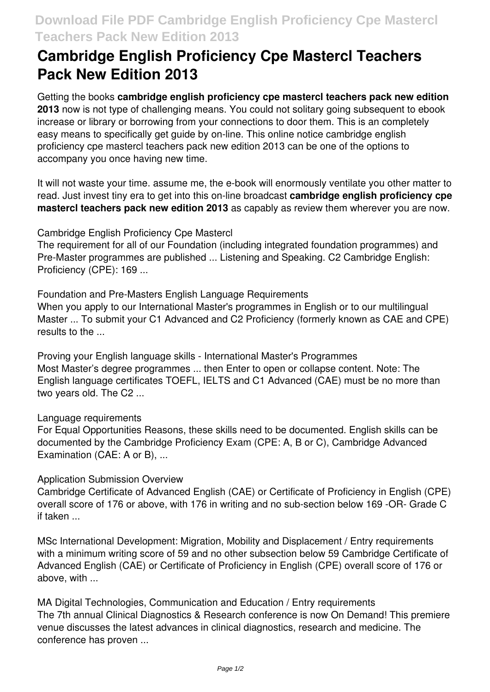# **Cambridge English Proficiency Cpe Mastercl Teachers Pack New Edition 2013**

Getting the books **cambridge english proficiency cpe mastercl teachers pack new edition 2013** now is not type of challenging means. You could not solitary going subsequent to ebook increase or library or borrowing from your connections to door them. This is an completely easy means to specifically get guide by on-line. This online notice cambridge english proficiency cpe mastercl teachers pack new edition 2013 can be one of the options to accompany you once having new time.

It will not waste your time. assume me, the e-book will enormously ventilate you other matter to read. Just invest tiny era to get into this on-line broadcast **cambridge english proficiency cpe mastercl teachers pack new edition 2013** as capably as review them wherever you are now.

Cambridge English Proficiency Cpe Mastercl

The requirement for all of our Foundation (including integrated foundation programmes) and Pre-Master programmes are published ... Listening and Speaking. C2 Cambridge English: Proficiency (CPE): 169 ...

Foundation and Pre-Masters English Language Requirements When you apply to our International Master's programmes in English or to our multilingual Master ... To submit your C1 Advanced and C2 Proficiency (formerly known as CAE and CPE) results to the ...

Proving your English language skills - International Master's Programmes Most Master's degree programmes ... then Enter to open or collapse content. Note: The English language certificates TOEFL, IELTS and C1 Advanced (CAE) must be no more than two years old. The C2 ...

Language requirements

For Equal Opportunities Reasons, these skills need to be documented. English skills can be documented by the Cambridge Proficiency Exam (CPE: A, B or C), Cambridge Advanced Examination (CAE: A or B), ...

Application Submission Overview

Cambridge Certificate of Advanced English (CAE) or Certificate of Proficiency in English (CPE) overall score of 176 or above, with 176 in writing and no sub-section below 169 -OR- Grade C if taken ...

MSc International Development: Migration, Mobility and Displacement / Entry requirements with a minimum writing score of 59 and no other subsection below 59 Cambridge Certificate of Advanced English (CAE) or Certificate of Proficiency in English (CPE) overall score of 176 or above, with ...

MA Digital Technologies, Communication and Education / Entry requirements The 7th annual Clinical Diagnostics & Research conference is now On Demand! This premiere venue discusses the latest advances in clinical diagnostics, research and medicine. The conference has proven ...